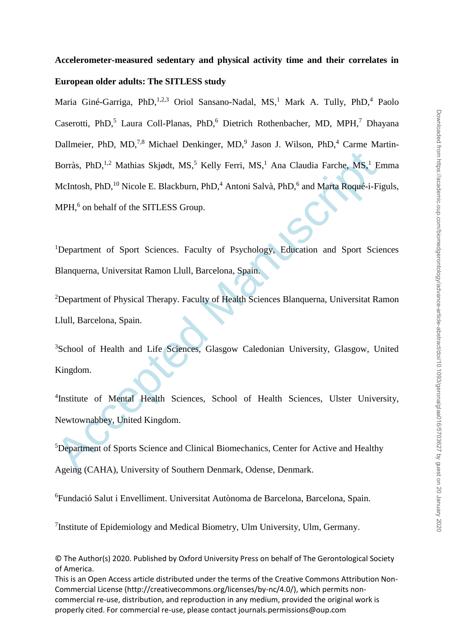# **Accelerometer-measured sedentary and physical activity time and their correlates in European older adults: The SITLESS study**

Borràs, PhD,<sup>1,2</sup> Mathias Skjødt, MS,<sup>5</sup> Kelly Ferri, MS,<sup>1</sup> Ana Claudia Farche, MS,<sup>1</sup> E<br>McIntosh, PhD,<sup>10</sup> Nicole E. Blackburn, PhD,<sup>4</sup> Antoni Salvà, PhD,<sup>6</sup> and Marta Roqué-i-Fi<br>MPH,<sup>6</sup> on behalf of the SITLESS Group.<br><sup></sup> Maria Giné-Garriga, PhD, <sup>1,2,3</sup> Oriol Sansano-Nadal, MS,<sup>1</sup> Mark A. Tully, PhD,<sup>4</sup> Paolo Caserotti, PhD,<sup>5</sup> Laura Coll-Planas, PhD,<sup>6</sup> Dietrich Rothenbacher, MD, MPH,<sup>7</sup> Dhayana Dallmeier, PhD, MD,<sup>7,8</sup> Michael Denkinger, MD,<sup>9</sup> Jason J. Wilson, PhD,<sup>4</sup> Carme Martin-Borràs, PhD,<sup>1,2</sup> Mathias Skjødt, MS,<sup>5</sup> Kelly Ferri, MS,<sup>1</sup> Ana Claudia Farche, MS,<sup>1</sup> Emma McIntosh, PhD,<sup>10</sup> Nicole E. Blackburn, PhD,<sup>4</sup> Antoni Salvà, PhD,<sup>6</sup> and Marta Roqué-i-Figuls, MPH,<sup>6</sup> on behalf of the SITLESS Group.

<sup>1</sup>Department of Sport Sciences. Faculty of Psychology, Education and Sport Sciences Blanquerna, Universitat Ramon Llull, Barcelona, Spain.

<sup>2</sup>Department of Physical Therapy. Faculty of Health Sciences Blanquerna, Universitat Ramon Llull, Barcelona, Spain.

<sup>3</sup>School of Health and Life Sciences, Glasgow Caledonian University, Glasgow, United Kingdom.

4 Institute of Mental Health Sciences, School of Health Sciences, Ulster University, Newtownabbey, United Kingdom.

<sup>5</sup>Department of Sports Science and Clinical Biomechanics, Center for Active and Healthy

Ageing (CAHA), University of Southern Denmark, Odense, Denmark.

<sup>6</sup>Fundació Salut i Envelliment. Universitat Autònoma de Barcelona, Barcelona, Spain.

<sup>7</sup>Institute of Epidemiology and Medical Biometry, Ulm University, Ulm, Germany.

© The Author(s) 2020. Published by Oxford University Press on behalf of The Gerontological Society of America.

This is an Open Access article distributed under the terms of the Creative Commons Attribution Non-Commercial License (http://creativecommons.org/licenses/by-nc/4.0/), which permits noncommercial re-use, distribution, and reproduction in any medium, provided the original work is properly cited. For commercial re-use, please contact journals.permissions@oup.com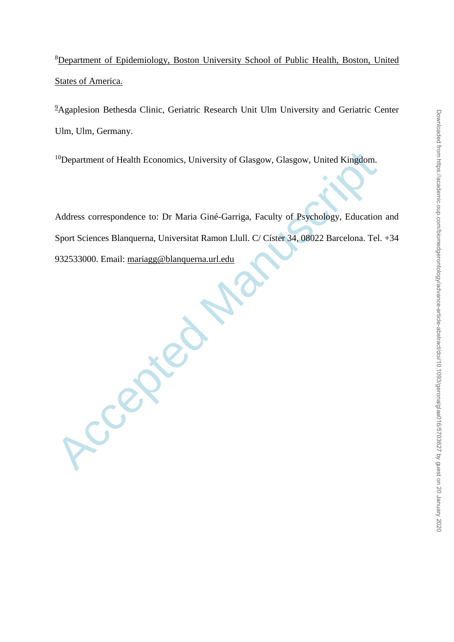<sup>8</sup>Department of Epidemiology, Boston University School of Public Health, Boston, United **States of America.** 

<sup>9</sup>Agaplesion Bethesda Clinic, Geriatric Research Unit Ulm University and Geriatric Center Ulm, Ulm, Germany.

<sup>10</sup>Department of Health Economics, University of Glasgow, Glasgow, United Kingdom.

Address correspondence to: Dr Maria Giné-Garriga, Faculty of Psychology, Education and Sport Sciences Blanquerna, Universitat Ramon Llull. C/ Císter 34, 08022 Barcelona. Tel. +34 932533000. Email: mariagg@blanquerna.url.edu

Accepted [Ma](mailto:mariagg@blanquerna.url.edu)nuscript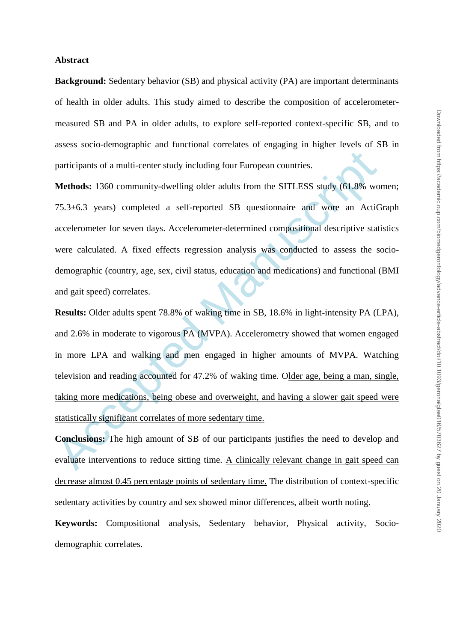#### **Abstract**

**Background:** Sedentary behavior (SB) and physical activity (PA) are important determinants of health in older adults. This study aimed to describe the composition of accelerometermeasured SB and PA in older adults, to explore self-reported context-specific SB, and to assess socio-demographic and functional correlates of engaging in higher levels of SB in participants of a multi-center study including four European countries.

participants of a multi-center study including four European countries.<br>
Methods: 1360 community-dwelling older adults from the SITLESS study (61.8% wo<br>
75.3±6.3 years) completed a self-reported SB questionnaire and wore a **Methods:** 1360 community-dwelling older adults from the SITLESS study (61.8% women; 75.3±6.3 years) completed a self-reported SB questionnaire and wore an ActiGraph accelerometer for seven days. Accelerometer-determined compositional descriptive statistics were calculated. A fixed effects regression analysis was conducted to assess the sociodemographic (country, age, sex, civil status, education and medications) and functional (BMI and gait speed) correlates.

**Results:** Older adults spent 78.8% of waking time in SB, 18.6% in light-intensity PA (LPA), and 2.6% in moderate to vigorous PA (MVPA). Accelerometry showed that women engaged in more LPA and walking and men engaged in higher amounts of MVPA. Watching television and reading accounted for 47.2% of waking time. Older age, being a man, single, taking more medications, being obese and overweight, and having a slower gait speed were statistically significant correlates of more sedentary time.

**Conclusions:** The high amount of SB of our participants justifies the need to develop and evaluate interventions to reduce sitting time. A clinically relevant change in gait speed can decrease almost 0.45 percentage points of sedentary time. The distribution of context-specific sedentary activities by country and sex showed minor differences, albeit worth noting.

**Keywords:** Compositional analysis, Sedentary behavior, Physical activity, Sociodemographic correlates.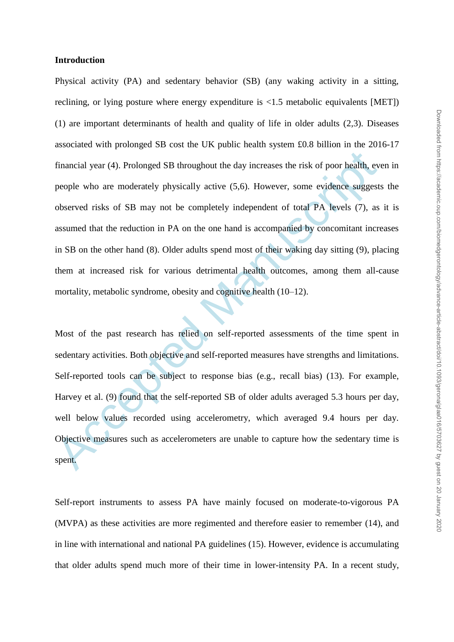## **Introduction**

financial year (4). Prolonged SB throughout the day increases the risk of poor health, every<br>people who are moderately physically active  $(5,6)$ . However, some evidence suggest<br>observed risks of SB may not be completely i Physical activity (PA) and sedentary behavior (SB) (any waking activity in a sitting, reclining, or lying posture where energy expenditure is <1.5 metabolic equivalents [MET]) (1) are important determinants of health and quality of life in older adults (2,3). Diseases associated with prolonged SB cost the UK public health system £0.8 billion in the 2016-17 financial year (4). Prolonged SB throughout the day increases the risk of poor health, even in people who are moderately physically active (5,6). However, some evidence suggests the observed risks of SB may not be completely independent of total PA levels (7), as it is assumed that the reduction in PA on the one hand is accompanied by concomitant increases in SB on the other hand (8). Older adults spend most of their waking day sitting (9), placing them at increased risk for various detrimental health outcomes, among them all-cause mortality, metabolic syndrome, obesity and cognitive health (10–12).

Most of the past research has relied on self-reported assessments of the time spent in sedentary activities. Both objective and self-reported measures have strengths and limitations. Self-reported tools can be subject to response bias (e.g., recall bias) (13). For example, Harvey et al. (9) found that the self-reported SB of older adults averaged 5.3 hours per day, well below values recorded using accelerometry, which averaged 9.4 hours per day. Objective measures such as accelerometers are unable to capture how the sedentary time is spent.

Self-report instruments to assess PA have mainly focused on moderate-to-vigorous PA (MVPA) as these activities are more regimented and therefore easier to remember (14), and in line with international and national PA guidelines (15). However, evidence is accumulating that older adults spend much more of their time in lower-intensity PA. In a recent study,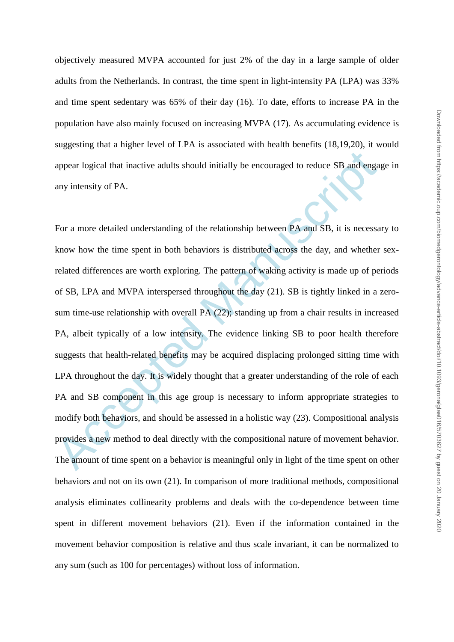objectively measured MVPA accounted for just 2% of the day in a large sample of older adults from the Netherlands. In contrast, the time spent in light-intensity PA (LPA) was 33% and time spent sedentary was 65% of their day (16). To date, efforts to increase PA in the population have also mainly focused on increasing MVPA (17). As accumulating evidence is suggesting that a higher level of LPA is associated with health benefits (18,19,20), it would appear logical that inactive adults should initially be encouraged to reduce SB and engage in any intensity of PA.

appear logical that inactive adults should initially be encouraged to reduce SB and enga<br>any intensity of PA.<br>
For a more detailed understanding of the relationship between PA and SB, it is necessa<br>
know how the time spen For a more detailed understanding of the relationship between PA and SB, it is necessary to know how the time spent in both behaviors is distributed across the day, and whether sexrelated differences are worth exploring. The pattern of waking activity is made up of periods of SB, LPA and MVPA interspersed throughout the day (21). SB is tightly linked in a zerosum time-use relationship with overall PA (22); standing up from a chair results in increased PA, albeit typically of a low intensity. The evidence linking SB to poor health therefore suggests that health-related benefits may be acquired displacing prolonged sitting time with LPA throughout the day. It is widely thought that a greater understanding of the role of each PA and SB component in this age group is necessary to inform appropriate strategies to modify both behaviors, and should be assessed in a holistic way (23). Compositional analysis provides a new method to deal directly with the compositional nature of movement behavior. The amount of time spent on a behavior is meaningful only in light of the time spent on other behaviors and not on its own (21). In comparison of more traditional methods, compositional analysis eliminates collinearity problems and deals with the co-dependence between time spent in different movement behaviors (21). Even if the information contained in the movement behavior composition is relative and thus scale invariant, it can be normalized to any sum (such as 100 for percentages) without loss of information.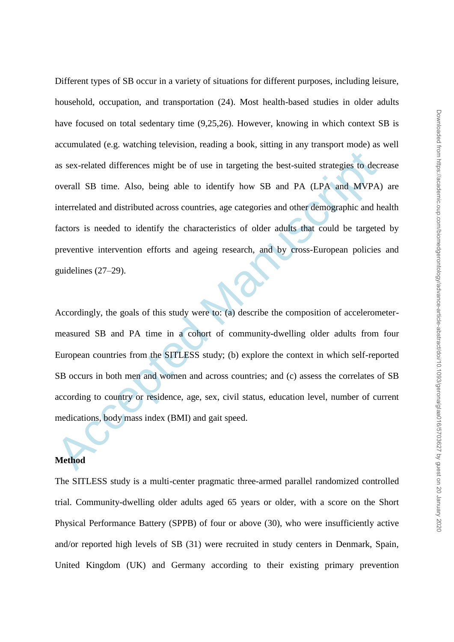as sex-related differences might be of use in targeting the best-suited strategies to decoverall SB time. Also, being able to identify how SB and PA (LPA and MVPA) interrelated and distributed across countries, age categor Different types of SB occur in a variety of situations for different purposes, including leisure, household, occupation, and transportation (24). Most health-based studies in older adults have focused on total sedentary time (9,25,26). However, knowing in which context SB is accumulated (e.g. watching television, reading a book, sitting in any transport mode) as well as sex-related differences might be of use in targeting the best-suited strategies to decrease overall SB time. Also, being able to identify how SB and PA (LPA and MVPA) are interrelated and distributed across countries, age categories and other demographic and health factors is needed to identify the characteristics of older adults that could be targeted by preventive intervention efforts and ageing research, and by cross-European policies and guidelines (27–29).

Accordingly, the goals of this study were to: (a) describe the composition of accelerometermeasured SB and PA time in a cohort of community-dwelling older adults from four European countries from the SITLESS study; (b) explore the context in which self-reported SB occurs in both men and women and across countries; and (c) assess the correlates of SB according to country or residence, age, sex, civil status, education level, number of current medications, body mass index (BMI) and gait speed.

# **Method**

The SITLESS study is a multi-center pragmatic three-armed parallel randomized controlled trial. Community-dwelling older adults aged 65 years or older, with a score on the Short Physical Performance Battery (SPPB) of four or above (30), who were insufficiently active and/or reported high levels of SB (31) were recruited in study centers in Denmark, Spain, United Kingdom (UK) and Germany according to their existing primary prevention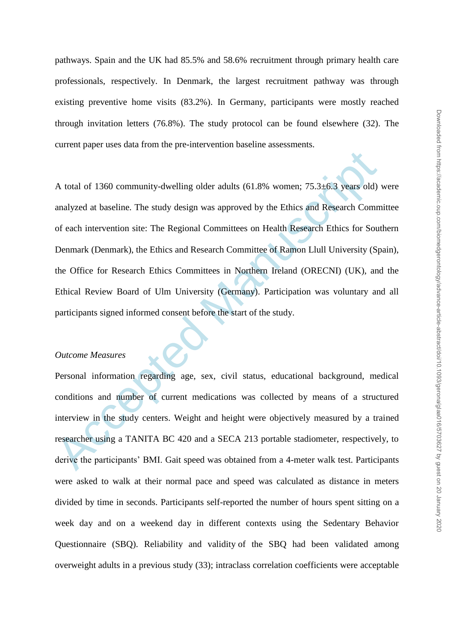pathways. Spain and the UK had 85.5% and 58.6% recruitment through primary health care professionals, respectively. In Denmark, the largest recruitment pathway was through existing preventive home visits (83.2%). In Germany, participants were mostly reached through invitation letters (76.8%). The study protocol can be found elsewhere (32). The current paper uses data from the pre-intervention baseline assessments.

A total of 1360 community-dwelling older adults (61.8% women; 75.3±6.3 years old)<br>analyzed at baseline. The study design was approved by the Ethics and Research Comm<br>of each intervention site: The Regional Committees on H A total of 1360 community-dwelling older adults (61.8% women; 75.3±6.3 years old) were analyzed at baseline. The study design was approved by the Ethics and Research Committee of each intervention site: The Regional Committees on Health Research Ethics for Southern Denmark (Denmark), the Ethics and Research Committee of Ramon Llull University (Spain), the Office for Research Ethics Committees in Northern Ireland (ORECNI) (UK), and the Ethical Review Board of Ulm University (Germany). Participation was voluntary and all participants signed informed consent before the start of the study.

# *Outcome Measures*

Personal information regarding age, sex, civil status, educational background, medical conditions and number of current medications was collected by means of a structured interview in the study centers. Weight and height were objectively measured by a trained researcher using a TANITA BC 420 and a SECA 213 portable stadiometer, respectively, to derive the participants' BMI. Gait speed was obtained from a 4-meter walk test. Participants were asked to walk at their normal pace and speed was calculated as distance in meters divided by time in seconds. Participants self-reported the number of hours spent sitting on a week day and on a weekend day in different contexts using the Sedentary Behavior Questionnaire (SBQ). Reliability and validity of the SBQ had been validated among overweight adults in a previous study (33); intraclass correlation coefficients were acceptable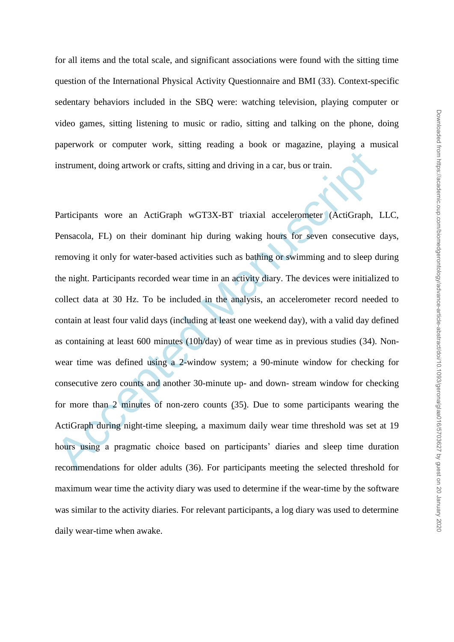for all items and the total scale, and significant associations were found with the sitting time question of the International Physical Activity Questionnaire and BMI (33). Context-specific sedentary behaviors included in the SBQ were: watching television, playing computer or video games, sitting listening to music or radio, sitting and talking on the phone, doing paperwork or computer work, sitting reading a book or magazine, playing a musical instrument, doing artwork or crafts, sitting and driving in a car, bus or train.

instrument, doing artwork or crafts, sitting and driving in a car, bus or train.<br>
Participants wore an ActiGraph wGT3X-BT triaxial accelerometer (ActiGraph, 1<br>
Pensacola, FL) on their dominant hip during waking hours for s Participants wore an ActiGraph wGT3X-BT triaxial accelerometer (ActiGraph, LLC, Pensacola, FL) on their dominant hip during waking hours for seven consecutive days, removing it only for water-based activities such as bathing or swimming and to sleep during the night. Participants recorded wear time in an activity diary. The devices were initialized to collect data at 30 Hz. To be included in the analysis, an accelerometer record needed to contain at least four valid days (including at least one weekend day), with a valid day defined as containing at least 600 minutes (10h/day) of wear time as in previous studies (34). Nonwear time was defined using a 2-window system; a 90-minute window for checking for consecutive zero counts and another 30-minute up- and down- stream window for checking for more than 2 minutes of non-zero counts (35). Due to some participants wearing the ActiGraph during night-time sleeping, a maximum daily wear time threshold was set at 19 hours using a pragmatic choice based on participants' diaries and sleep time duration recommendations for older adults (36). For participants meeting the selected threshold for maximum wear time the activity diary was used to determine if the wear-time by the software was similar to the activity diaries. For relevant participants, a log diary was used to determine daily wear-time when awake.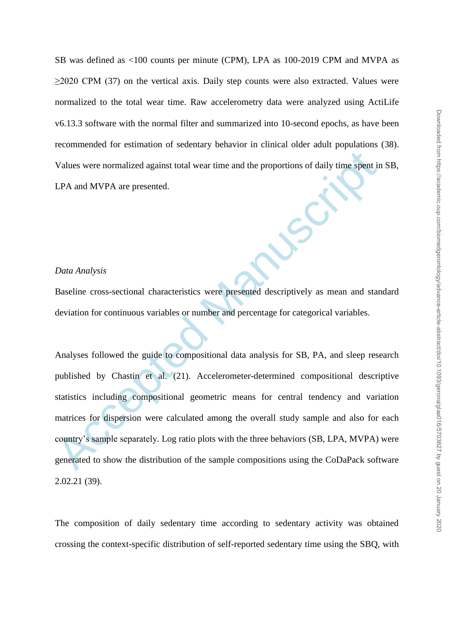SB was defined as <100 counts per minute (CPM), LPA as 100-2019 CPM and MVPA as ≥2020 CPM (37) on the vertical axis. Daily step counts were also extracted. Values were normalized to the total wear time. Raw accelerometry data were analyzed using ActiLife v6.13.3 software with the normal filter and summarized into 10-second epochs, as have been recommended for estimation of sedentary behavior in clinical older adult populations (38). Values were normalized against total wear time and the proportions of daily time spent in SB, LPA and MVPA are presented.

# *Data Analysis*

Baseline cross-sectional characteristics were presented descriptively as mean and standard deviation for continuous variables or number and percentage for categorical variables.

Values were normalized against total wear time and the proportions of daily time spent in<br>
LPA and MVPA are presented.<br>
Data Analysis<br>
Baseline cross-sectional characteristics were presented descriptively as mean and star<br> Analyses followed the guide to compositional data analysis for SB, PA, and sleep research published by Chastin et al. (21). Accelerometer-determined compositional descriptive statistics including compositional geometric means for central tendency and variation matrices for dispersion were calculated among the overall study sample and also for each country's sample separately. Log ratio plots with the three behaviors (SB, LPA, MVPA) were generated to show the distribution of the sample compositions using the CoDaPack software 2.02.21 (39).

The composition of daily sedentary time according to sedentary activity was obtained crossing the context-specific distribution of self-reported sedentary time using the SBQ, with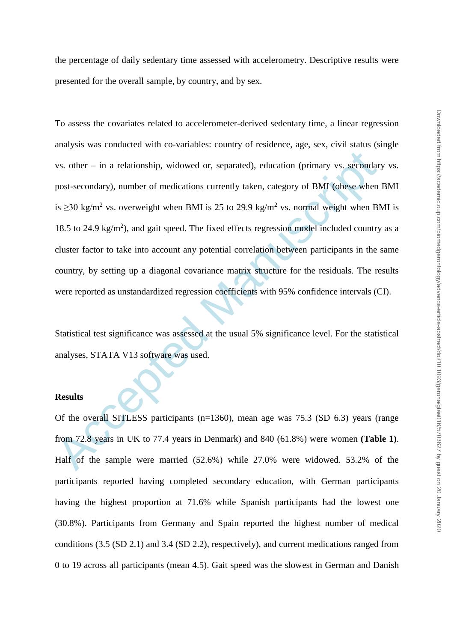vs. other – in a relationship, widowed or, separated), education (primary vs. secondar<br>post-secondary), number of medications currently taken, category of BMI (obese when<br>is  $\geq$ 30 kg/m<sup>2</sup> vs. overweight when BMI is 25 t To assess the covariates related to accelerometer-derived sedentary time, a linear regression analysis was conducted with co-variables: country of residence, age, sex, civil status (single vs. other – in a relationship, widowed or, separated), education (primary vs. secondary vs. post-secondary), number of medications currently taken, category of BMI (obese when BMI is  $\geq$ 30 kg/m<sup>2</sup> vs. overweight when BMI is 25 to 29.9 kg/m<sup>2</sup> vs. normal weight when BMI is 18.5 to 24.9  $\text{kg/m}^2$ ), and gait speed. The fixed effects regression model included country as a cluster factor to take into account any potential correlation between participants in the same country, by setting up a diagonal covariance matrix structure for the residuals. The results were reported as unstandardized regression coefficients with 95% confidence intervals (CI).

Statistical test significance was assessed at the usual 5% significance level. For the statistical analyses, STATA V13 software was used.

# **Results**

Of the overall SITLESS participants (n=1360), mean age was 75.3 (SD 6.3) years (range from 72.8 years in UK to 77.4 years in Denmark) and 840 (61.8%) were women **(Table 1)**. Half of the sample were married (52.6%) while 27.0% were widowed. 53.2% of the participants reported having completed secondary education, with German participants having the highest proportion at 71.6% while Spanish participants had the lowest one (30.8%). Participants from Germany and Spain reported the highest number of medical conditions (3.5 (SD 2.1) and 3.4 (SD 2.2), respectively), and current medications ranged from 0 to 19 across all participants (mean 4.5). Gait speed was the slowest in German and Danish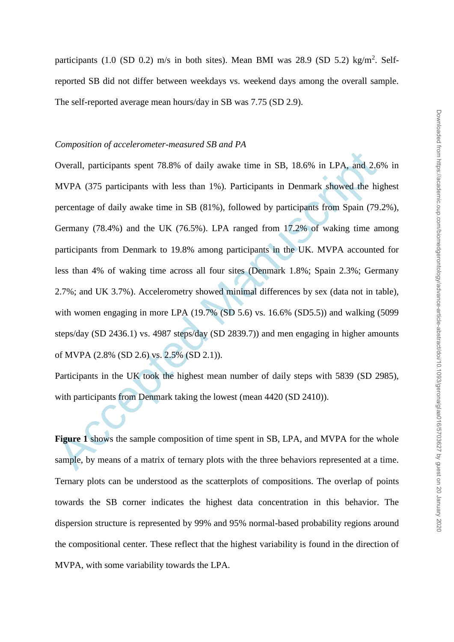#### *Composition of accelerometer-measured SB and PA*

Overall, participants spent 78.8% of daily awake time in SB, 18.6% in LPA, and 2.6 MVPA (375 participants with less than 1%). Participants in Denmark showed the higercentage of daily awake time in SB (81%), followed by par Overall, participants spent 78.8% of daily awake time in SB, 18.6% in LPA, and 2.6% in MVPA (375 participants with less than 1%). Participants in Denmark showed the highest percentage of daily awake time in SB (81%), followed by participants from Spain (79.2%), Germany (78.4%) and the UK (76.5%). LPA ranged from 17.2% of waking time among participants from Denmark to 19.8% among participants in the UK. MVPA accounted for less than 4% of waking time across all four sites (Denmark 1.8%; Spain 2.3%; Germany 2.7%; and UK 3.7%). Accelerometry showed minimal differences by sex (data not in table), with women engaging in more LPA (19.7% (SD 5.6) vs. 16.6% (SD5.5)) and walking (5099 steps/day (SD 2436.1) vs. 4987 steps/day (SD 2839.7)) and men engaging in higher amounts of MVPA (2.8% (SD 2.6) vs. 2.5% (SD 2.1)).

Participants in the UK took the highest mean number of daily steps with 5839 (SD 2985), with participants from Denmark taking the lowest (mean 4420 (SD 2410)).

Figure 1 shows the sample composition of time spent in SB, LPA, and MVPA for the whole sample, by means of a matrix of ternary plots with the three behaviors represented at a time. Ternary plots can be understood as the scatterplots of compositions. The overlap of points towards the SB corner indicates the highest data concentration in this behavior. The dispersion structure is represented by 99% and 95% normal-based probability regions around the compositional center. These reflect that the highest variability is found in the direction of MVPA, with some variability towards the LPA.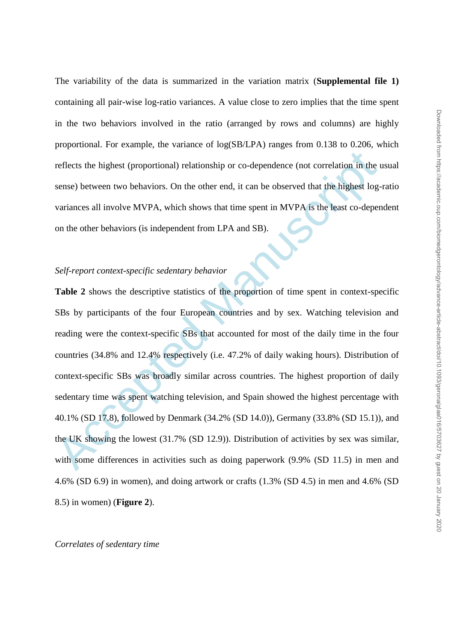The variability of the data is summarized in the variation matrix (**Supplemental file 1)** containing all pair-wise log-ratio variances. A value close to zero implies that the time spent in the two behaviors involved in the ratio (arranged by rows and columns) are highly proportional. For example, the variance of log(SB/LPA) ranges from 0.138 to 0.206, which reflects the highest (proportional) relationship or co-dependence (not correlation in the usual sense) between two behaviors. On the other end, it can be observed that the highest log-ratio variances all involve MVPA, which shows that time spent in MVPA is the least co-dependent on the other behaviors (is independent from LPA and SB).

# *Self-report context-specific sedentary behavior*

reflects the highest (proportional) relationship or co-dependence (not correlation in the vense) between two behaviors. On the other end, it can be observed that the highest log-<br>variances all involve MVPA, which shows tha **Table 2** shows the descriptive statistics of the proportion of time spent in context-specific SBs by participants of the four European countries and by sex. Watching television and reading were the context-specific SBs that accounted for most of the daily time in the four countries (34.8% and 12.4% respectively (i.e. 47.2% of daily waking hours). Distribution of context-specific SBs was broadly similar across countries. The highest proportion of daily sedentary time was spent watching television, and Spain showed the highest percentage with 40.1% (SD 17.8), followed by Denmark (34.2% (SD 14.0)), Germany (33.8% (SD 15.1)), and the UK showing the lowest (31.7% (SD 12.9)). Distribution of activities by sex was similar, with some differences in activities such as doing paperwork (9.9% (SD 11.5) in men and 4.6% (SD 6.9) in women), and doing artwork or crafts (1.3% (SD 4.5) in men and 4.6% (SD 8.5) in women) (**Figure 2**).

#### *Correlates of sedentary time*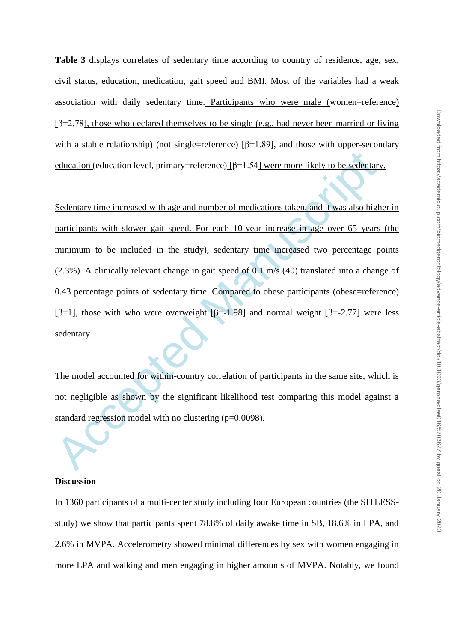**Table 3** displays correlates of sedentary time according to country of residence, age, sex, civil status, education, medication, gait speed and BMI. Most of the variables had a weak association with daily sedentary time. Participants who were male (women=reference)  $[β=2.78]$ , those who declared themselves to be single (e.g., had never been married or living with a stable relationship) (not single=reference)  $[\beta=1.89]$ , and those with upper-secondary education (education level, primary=reference) [β=1.54] were more likely to be sedentary.

education (education level, primary=reference) [ $\beta$ =1.54] were more likely to be sedentary<br>Sedentary time increased with age and number of medications taken, and it was also high<br>participants with slower gait speed. For Sedentary time increased with age and number of medications taken, and it was also higher in participants with slower gait speed. For each 10-year increase in age over 65 years (the minimum to be included in the study), sedentary time increased two percentage points (2.3%). A clinically relevant change in gait speed of 0.1 m/s (40) translated into a change of 0.43 percentage points of sedentary time. Compared to obese participants (obese=reference) [β=1], those with who were overweight [β=-1.98] and normal weight [β=-2.77] were less sedentary.

The model accounted for within-country correlation of participants in the same site, which is not negligible as shown by the significant likelihood test comparing this model against a standard regression model with no clustering (p=0.0098).

# **Discussion**

In 1360 participants of a multi-center study including four European countries (the SITLESSstudy) we show that participants spent 78.8% of daily awake time in SB, 18.6% in LPA, and 2.6% in MVPA. Accelerometry showed minimal differences by sex with women engaging in more LPA and walking and men engaging in higher amounts of MVPA. Notably, we found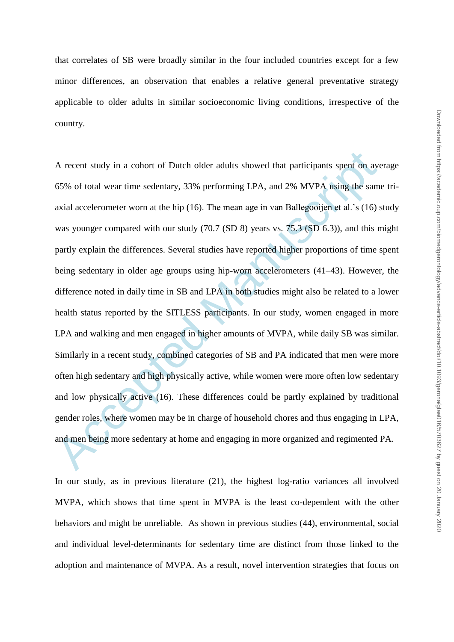that correlates of SB were broadly similar in the four included countries except for a few minor differences, an observation that enables a relative general preventative strategy applicable to older adults in similar socioeconomic living conditions, irrespective of the country.

A recent study in a cohort of Dutch older adults showed that participants spent on ave 65% of total wear time sedentary, 33% performing LPA, and 2% MVPA using the sam axial accelerometer wom at the hip (16). The mean age A recent study in a cohort of Dutch older adults showed that participants spent on average 65% of total wear time sedentary, 33% performing LPA, and 2% MVPA using the same triaxial accelerometer worn at the hip (16). The mean age in van Ballegooijen et al.'s (16) study was younger compared with our study (70.7 (SD 8) years vs. 75.3 (SD 6.3)), and this might partly explain the differences. Several studies have reported higher proportions of time spent being sedentary in older age groups using hip-worn accelerometers (41–43). However, the difference noted in daily time in SB and LPA in both studies might also be related to a lower health status reported by the SITLESS participants. In our study, women engaged in more LPA and walking and men engaged in higher amounts of MVPA, while daily SB was similar. Similarly in a recent study, combined categories of SB and PA indicated that men were more often high sedentary and high physically active, while women were more often low sedentary and low physically active (16). These differences could be partly explained by traditional gender roles, where women may be in charge of household chores and thus engaging in LPA, and men being more sedentary at home and engaging in more organized and regimented PA.

In our study, as in previous literature (21), the highest log-ratio variances all involved MVPA, which shows that time spent in MVPA is the least co-dependent with the other behaviors and might be unreliable. As shown in previous studies (44), environmental, social and individual level-determinants for sedentary time are distinct from those linked to the adoption and maintenance of MVPA. As a result, novel intervention strategies that focus on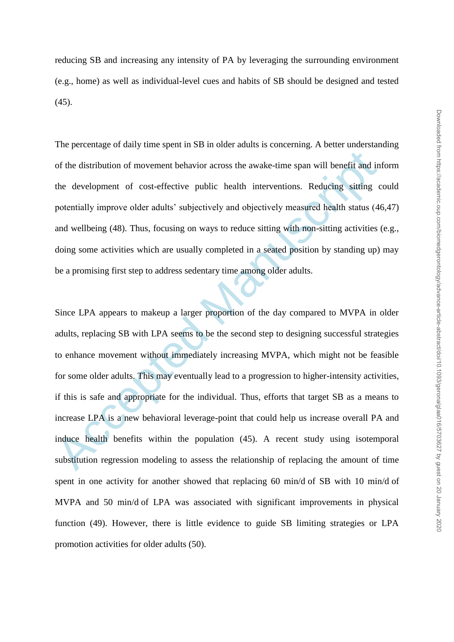reducing SB and increasing any intensity of PA by leveraging the surrounding environment (e.g., home) as well as individual-level cues and habits of SB should be designed and tested (45).

The percentage of daily time spent in SB in older adults is concerning. A better understanding of the distribution of movement behavior across the awake-time span will benefit and inform the development of cost-effective public health interventions. Reducing sitting could potentially improve older adults' subjectively and objectively measured health status (46,47) and wellbeing (48). Thus, focusing on ways to reduce sitting with non-sitting activities (e.g., doing some activities which are usually completed in a seated position by standing up) may be a promising first step to address sedentary time among older adults.

of the distribution of movement behavior across the awake-time span will benefit and in<br>the development of cost-effective public health interventions. Reducing sitting c<br>potentially improve older adults' subjectively and o Since LPA appears to makeup a larger proportion of the day compared to MVPA in older adults, replacing SB with LPA seems to be the second step to designing successful strategies to enhance movement without immediately increasing MVPA, which might not be feasible for some older adults. This may eventually lead to a progression to higher-intensity activities, if this is safe and appropriate for the individual. Thus, efforts that target SB as a means to increase LPA is a new behavioral leverage-point that could help us increase overall PA and induce health benefits within the population (45). A recent study using isotemporal substitution regression modeling to assess the relationship of replacing the amount of time spent in one activity for another showed that replacing 60 min/d of SB with 10 min/d of MVPA and 50 min/d of LPA was associated with significant improvements in physical function (49). However, there is little evidence to guide SB limiting strategies or LPA promotion activities for older adults (50).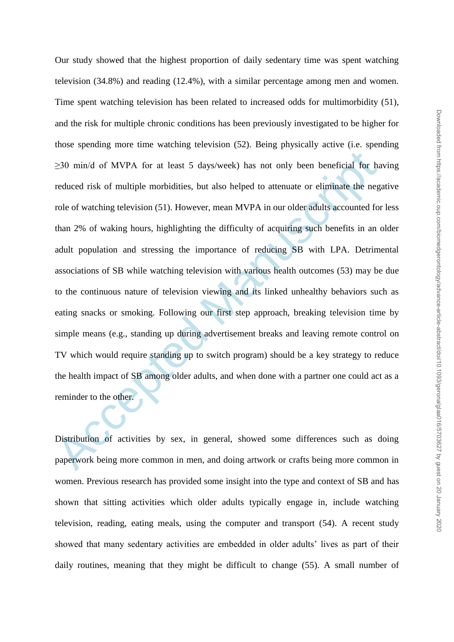$\geq$ 30 min/d of MVPA for at least 5 days/week) has not only been beneficial for has reduced risk of multiple morbidities, but also helped to attenuate or eliminate the neg role of watching television (51). However, mean Our study showed that the highest proportion of daily sedentary time was spent watching television (34.8%) and reading (12.4%), with a similar percentage among men and women. Time spent watching television has been related to increased odds for multimorbidity (51), and the risk for multiple chronic conditions has been previously investigated to be higher for those spending more time watching television (52). Being physically active (i.e. spending ≥30 min/d of MVPA for at least 5 days/week) has not only been beneficial for having reduced risk of multiple morbidities, but also helped to attenuate or eliminate the negative role of watching television (51). However, mean MVPA in our older adults accounted for less than 2% of waking hours, highlighting the difficulty of acquiring such benefits in an older adult population and stressing the importance of reducing SB with LPA. Detrimental associations of SB while watching television with various health outcomes (53) may be due to the continuous nature of television viewing and its linked unhealthy behaviors such as eating snacks or smoking. Following our first step approach, breaking television time by simple means (e.g., standing up during advertisement breaks and leaving remote control on TV which would require standing up to switch program) should be a key strategy to reduce the health impact of SB among older adults, and when done with a partner one could act as a reminder to the other.

Distribution of activities by sex, in general, showed some differences such as doing paperwork being more common in men, and doing artwork or crafts being more common in women. Previous research has provided some insight into the type and context of SB and has shown that sitting activities which older adults typically engage in, include watching television, reading, eating meals, using the computer and transport (54). A recent study showed that many sedentary activities are embedded in older adults' lives as part of their daily routines, meaning that they might be difficult to change (55). A small number of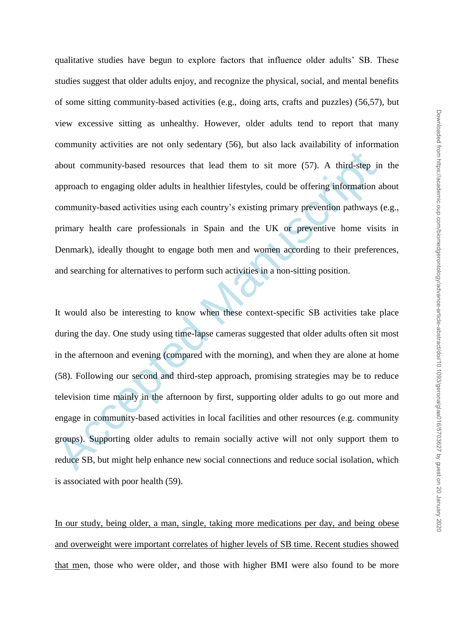qualitative studies have begun to explore factors that influence older adults' SB. These studies suggest that older adults enjoy, and recognize the physical, social, and mental benefits of some sitting community-based activities (e.g., doing arts, crafts and puzzles) (56,57), but view excessive sitting as unhealthy. However, older adults tend to report that many community activities are not only sedentary (56), but also lack availability of information about community-based resources that lead them to sit more (57). A third-step in the approach to engaging older adults in healthier lifestyles, could be offering information about community-based activities using each country's existing primary prevention pathways (e.g., primary health care professionals in Spain and the UK or preventive home visits in Denmark), ideally thought to engage both men and women according to their preferences, and searching for alternatives to perform such activities in a non-sitting position.

about community-based resources that lead them to sit more (57). A third-step in approach to engaging older adults in healthier lifestyles, could be offering information a community-based activities using each country's ex It would also be interesting to know when these context-specific SB activities take place during the day. One study using time-lapse cameras suggested that older adults often sit most in the afternoon and evening (compared with the morning), and when they are alone at home (58). Following our second and third-step approach, promising strategies may be to reduce television time mainly in the afternoon by first, supporting older adults to go out more and engage in community-based activities in local facilities and other resources (e.g. community groups). Supporting older adults to remain socially active will not only support them to reduce SB, but might help enhance new social connections and reduce social isolation, which is associated with poor health (59).

In our study, being older, a man, single, taking more medications per day, and being obese and overweight were important correlates of higher levels of SB time. Recent studies showed that men, those who were older, and those with higher BMI were also found to be more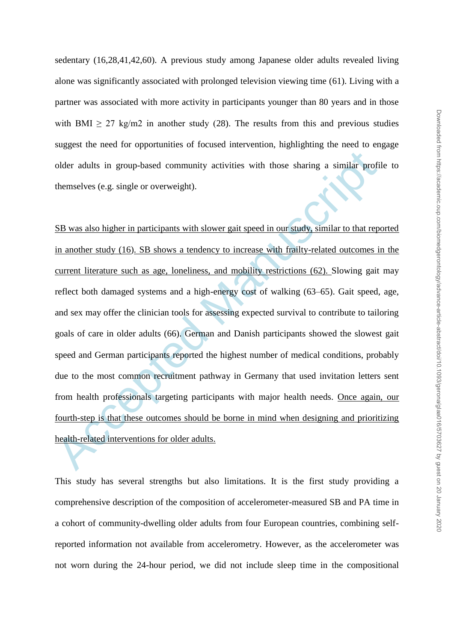sedentary (16,28,41,42,60). A previous study among Japanese older adults revealed living alone was significantly associated with prolonged television viewing time (61). Living with a partner was associated with more activity in participants younger than 80 years and in those with BMI  $> 27$  kg/m2 in another study (28). The results from this and previous studies suggest the need for opportunities of focused intervention, highlighting the need to engage older adults in group-based community activities with those sharing a similar profile to themselves (e.g. single or overweight).

older adults in group-based community activities with those sharing a similar profit<br>themselves (e.g. single or overweight).<br>SB was also higher in participants with slower gait speed in our study, similar to that rep<br>in an SB was also higher in participants with slower gait speed in our study, similar to that reported in another study (16). SB shows a tendency to increase with frailty-related outcomes in the current literature such as age, loneliness, and mobility restrictions (62). Slowing gait may reflect both damaged systems and a high-energy cost of walking (63–65). Gait speed, age, and sex may offer the clinician tools for assessing expected survival to contribute to tailoring goals of care in older adults (66). German and Danish participants showed the slowest gait speed and German participants reported the highest number of medical conditions, probably due to the most common recruitment pathway in Germany that used invitation letters sent from health professionals targeting participants with major health needs. Once again, our fourth-step is that these outcomes should be borne in mind when designing and prioritizing health-related interventions for older adults.

This study has several strengths but also limitations. It is the first study providing a comprehensive description of the composition of accelerometer-measured SB and PA time in a cohort of community-dwelling older adults from four European countries, combining selfreported information not available from accelerometry. However, as the accelerometer was not worn during the 24-hour period, we did not include sleep time in the compositional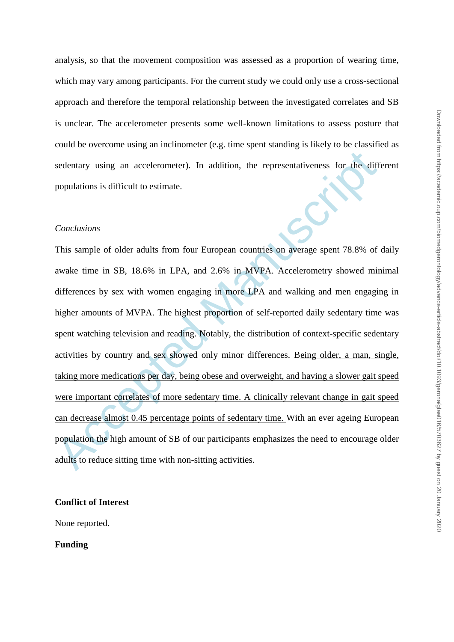analysis, so that the movement composition was assessed as a proportion of wearing time, which may vary among participants. For the current study we could only use a cross-sectional approach and therefore the temporal relationship between the investigated correlates and SB is unclear. The accelerometer presents some well-known limitations to assess posture that could be overcome using an inclinometer (e.g. time spent standing is likely to be classified as sedentary using an accelerometer). In addition, the representativeness for the different populations is difficult to estimate.

## *Conclusions*

sedentary using an accelerometer). In addition, the representativeness for the diff<br>populations is difficult to estimate.<br>
Conclusions<br>
This sample of older adults from four European countries on average spent 78.8% of<br>
aw This sample of older adults from four European countries on average spent 78.8% of daily awake time in SB, 18.6% in LPA, and 2.6% in MVPA. Accelerometry showed minimal differences by sex with women engaging in more LPA and walking and men engaging in higher amounts of MVPA. The highest proportion of self-reported daily sedentary time was spent watching television and reading. Notably, the distribution of context-specific sedentary activities by country and sex showed only minor differences. Being older, a man, single, taking more medications per day, being obese and overweight, and having a slower gait speed were important correlates of more sedentary time. A clinically relevant change in gait speed can decrease almost 0.45 percentage points of sedentary time. With an ever ageing European population the high amount of SB of our participants emphasizes the need to encourage older adults to reduce sitting time with non-sitting activities.

## **Conflict of Interest**

None reported.

**Funding**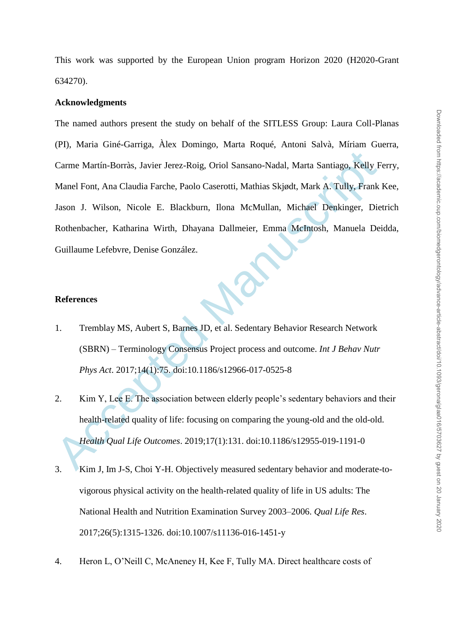This work was supported by the European Union program Horizon 2020 (H2020-Grant 634270).

#### **Acknowledgments**

Carme Martín-Borràs, Javier Jerez-Roig, Oriol Sansano-Nadal, Marta Santiago, Kelly F<br>
Manel Font, Ana Claudia Farche, Paolo Caserotti, Mathias Skjødt, Mark A. Tully, Frank<br>
Jason J. Wilson, Nicole E. Blackburn, Ilona McMul The named authors present the study on behalf of the SITLESS Group: Laura Coll-Planas (PI), Maria Giné-Garriga, Àlex Domingo, Marta Roqué, Antoni Salvà, Míriam Guerra, Carme Martín-Borràs, Javier Jerez-Roig, Oriol Sansano-Nadal, Marta Santiago, Kelly Ferry, Manel Font, Ana Claudia Farche, Paolo Caserotti, Mathias Skjødt, Mark A. Tully, Frank Kee, Jason J. Wilson, Nicole E. Blackburn, Ilona McMullan, Michael Denkinger, Dietrich Rothenbacher, Katharina Wirth, Dhayana Dallmeier, Emma McIntosh, Manuela Deidda, Guillaume Lefebvre, Denise González.

## **References**

- 1. Tremblay MS, Aubert S, Barnes JD, et al. Sedentary Behavior Research Network (SBRN) – Terminology Consensus Project process and outcome. *Int J Behav Nutr Phys Act*. 2017;14(1):75. doi:10.1186/s12966-017-0525-8
- 2. Kim Y, Lee E. The association between elderly people's sedentary behaviors and their health-related quality of life: focusing on comparing the young-old and the old-old. *Health Qual Life Outcomes*. 2019;17(1):131. doi:10.1186/s12955-019-1191-0
- 3. Kim J, Im J-S, Choi Y-H. Objectively measured sedentary behavior and moderate-tovigorous physical activity on the health-related quality of life in US adults: The National Health and Nutrition Examination Survey 2003–2006. *Qual Life Res*. 2017;26(5):1315-1326. doi:10.1007/s11136-016-1451-y
- 4. Heron L, O'Neill C, McAneney H, Kee F, Tully MA. Direct healthcare costs of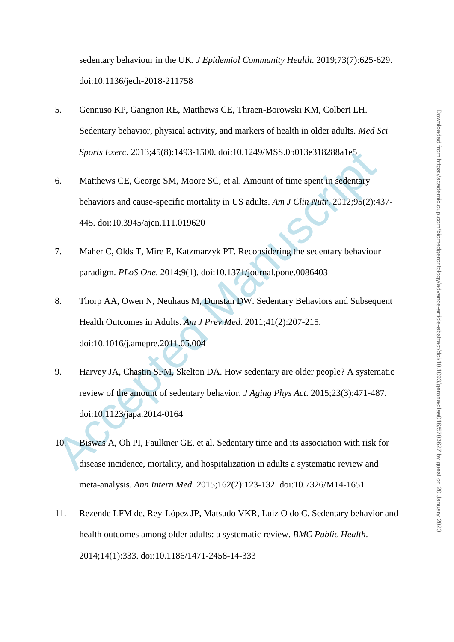sedentary behaviour in the UK. *J Epidemiol Community Health*. 2019;73(7):625-629. doi:10.1136/jech-2018-211758

- 5. Gennuso KP, Gangnon RE, Matthews CE, Thraen-Borowski KM, Colbert LH. Sedentary behavior, physical activity, and markers of health in older adults. *Med Sci Sports Exerc*. 2013;45(8):1493-1500. doi:10.1249/MSS.0b013e318288a1e5
- 6. Matthews CE, George SM, Moore SC, et al. Amount of time spent in sedentary behaviors and cause-specific mortality in US adults. *Am J Clin Nutr*. 2012;95(2):437- 445. doi:10.3945/ajcn.111.019620
- 7. Maher C, Olds T, Mire E, Katzmarzyk PT. Reconsidering the sedentary behaviour paradigm. *PLoS One*. 2014;9(1). doi:10.1371/journal.pone.0086403
- 8. Thorp AA, Owen N, Neuhaus M, Dunstan DW. Sedentary Behaviors and Subsequent Health Outcomes in Adults. *Am J Prev Med*. 2011;41(2):207-215. doi:10.1016/j.amepre.2011.05.004
- Sports Exerc. 2013:45(8):1493-1500. doi:10.1249/MSS.0b013e318288a1e5<br>
Matthews CE, George SM, Moore SC, et al. Amount of time spent in sedentary<br>
behaviors and cause-specific mortality in US adults. Am J Clin Nutr. 2012:9 9. Harvey JA, Chastin SFM, Skelton DA. How sedentary are older people? A systematic review of the amount of sedentary behavior. *J Aging Phys Act*. 2015;23(3):471-487. doi:10.1123/japa.2014-0164
- 10. Biswas A, Oh PI, Faulkner GE, et al. Sedentary time and its association with risk for disease incidence, mortality, and hospitalization in adults a systematic review and meta-analysis. *Ann Intern Med*. 2015;162(2):123-132. doi:10.7326/M14-1651
- 11. Rezende LFM de, Rey-López JP, Matsudo VKR, Luiz O do C. Sedentary behavior and health outcomes among older adults: a systematic review. *BMC Public Health*. 2014;14(1):333. doi:10.1186/1471-2458-14-333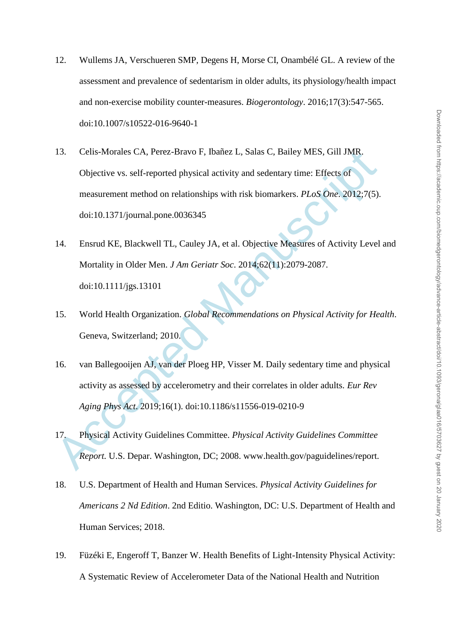- 12. Wullems JA, Verschueren SMP, Degens H, Morse CI, Onambélé GL. A review of the assessment and prevalence of sedentarism in older adults, its physiology/health impact and non-exercise mobility counter-measures. *Biogerontology*. 2016;17(3):547-565. doi:10.1007/s10522-016-9640-1
- 13. Celis-Morales CA, Perez-Bravo F, Ibañez L, Salas C, Bailey MES, Gill JMR.<br>
Objective vs. self-reported physical activity and sedentary time: Effects of<br>
measurement method on relationships with risk biomarkers. *PLoS* 13. Celis-Morales CA, Perez-Bravo F, Ibañez L, Salas C, Bailey MES, Gill JMR. Objective vs. self-reported physical activity and sedentary time: Effects of measurement method on relationships with risk biomarkers. *PLoS One*. 2012;7(5). doi:10.1371/journal.pone.0036345
- 14. Ensrud KE, Blackwell TL, Cauley JA, et al. Objective Measures of Activity Level and Mortality in Older Men. *J Am Geriatr Soc*. 2014;62(11):2079-2087. doi:10.1111/jgs.13101
- 15. World Health Organization. *Global Recommendations on Physical Activity for Health*. Geneva, Switzerland; 2010.
- 16. van Ballegooijen AJ, van der Ploeg HP, Visser M. Daily sedentary time and physical activity as assessed by accelerometry and their correlates in older adults. *Eur Rev Aging Phys Act*. 2019;16(1). doi:10.1186/s11556-019-0210-9
- 17. Physical Activity Guidelines Committee. *Physical Activity Guidelines Committee Report.* U.S. Depar. Washington, DC; 2008. www.health.gov/paguidelines/report.
- 18. U.S. Department of Health and Human Services. *Physical Activity Guidelines for Americans 2 Nd Edition*. 2nd Editio. Washington, DC: U.S. Department of Health and Human Services; 2018.
- 19. Füzéki E, Engeroff T, Banzer W. Health Benefits of Light-Intensity Physical Activity: A Systematic Review of Accelerometer Data of the National Health and Nutrition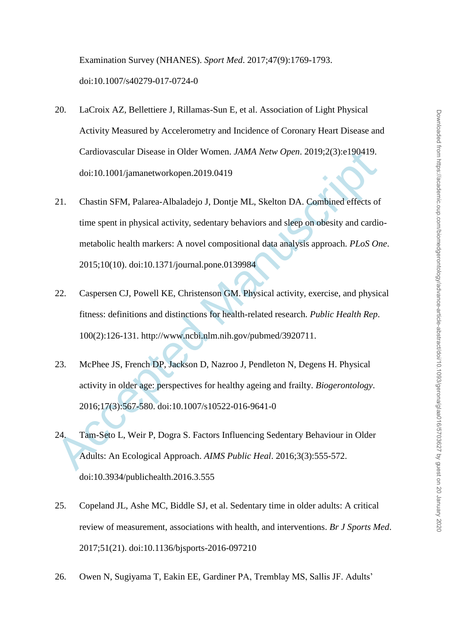Examination Survey (NHANES). *Sport Med*. 2017;47(9):1769-1793. doi:10.1007/s40279-017-0724-0

- 20. LaCroix AZ, Bellettiere J, Rillamas-Sun E, et al. Association of Light Physical Activity Measured by Accelerometry and Incidence of Coronary Heart Disease and Cardiovascular Disease in Older Women. *JAMA Netw Open*. 2019;2(3):e190419. doi:10.1001/jamanetworkopen.2019.0419
- Cardiovascular Disease in Older Women. *JAMA Netw Open*. 2019:2(3):e190419.<br>doi:10.1001/jamanetworkopen.2019.0419<br>21. Chastin SFM, Palarea-Albaladejo J, Dontje ML, Skelton DA. Combined effects of<br>time spent in physical act 21. Chastin SFM, Palarea-Albaladejo J, Dontje ML, Skelton DA. Combined effects of time spent in physical activity, sedentary behaviors and sleep on obesity and cardiometabolic health markers: A novel compositional data analysis approach. *PLoS One*. 2015;10(10). doi:10.1371/journal.pone.0139984
- 22. Caspersen CJ, Powell KE, Christenson GM. Physical activity, exercise, and physical fitness: definitions and distinctions for health-related research. *Public Health Rep*. 100(2):126-131. http://www.ncbi.nlm.nih.gov/pubmed/3920711.
- 23. McPhee JS, French DP, Jackson D, Nazroo J, Pendleton N, Degens H. Physical activity in older age: perspectives for healthy ageing and frailty. *Biogerontology*. 2016;17(3):567-580. doi:10.1007/s10522-016-9641-0
- 24. Tam-Seto L, Weir P, Dogra S. Factors Influencing Sedentary Behaviour in Older Adults: An Ecological Approach. *AIMS Public Heal*. 2016;3(3):555-572. doi:10.3934/publichealth.2016.3.555
- 25. Copeland JL, Ashe MC, Biddle SJ, et al. Sedentary time in older adults: A critical review of measurement, associations with health, and interventions. *Br J Sports Med*. 2017;51(21). doi:10.1136/bjsports-2016-097210
- 26. Owen N, Sugiyama T, Eakin EE, Gardiner PA, Tremblay MS, Sallis JF. Adults'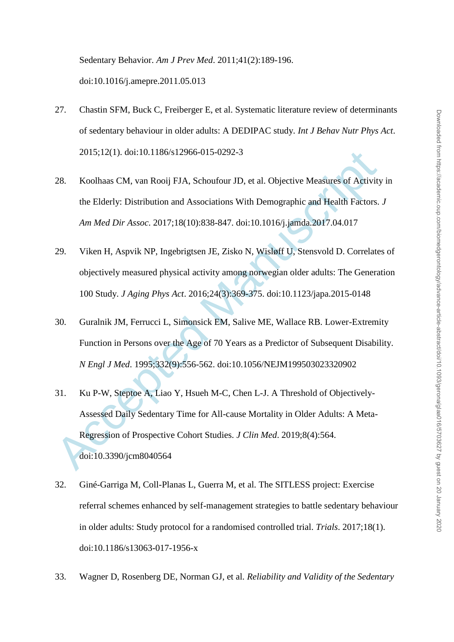Sedentary Behavior. *Am J Prev Med*. 2011;41(2):189-196. doi:10.1016/j.amepre.2011.05.013

- 27. Chastin SFM, Buck C, Freiberger E, et al. Systematic literature review of determinants of sedentary behaviour in older adults: A DEDIPAC study. *Int J Behav Nutr Phys Act*. 2015;12(1). doi:10.1186/s12966-015-0292-3
- 28. Koolhaas CM, van Rooij FJA, Schoufour JD, et al. Objective Measures of Activity in the Elderly: Distribution and Associations With Demographic and Health Factors. *J Am Med Dir Assoc*. 2017;18(10):838-847. doi:10.1016/j.jamda.2017.04.017
- 29. Viken H, Aspvik NP, Ingebrigtsen JE, Zisko N, Wisløff U, Stensvold D. Correlates of objectively measured physical activity among norwegian older adults: The Generation 100 Study. *J Aging Phys Act*. 2016;24(3):369-375. doi:10.1123/japa.2015-0148
- 30. Guralnik JM, Ferrucci L, Simonsick EM, Salive ME, Wallace RB. Lower-Extremity Function in Persons over the Age of 70 Years as a Predictor of Subsequent Disability. *N Engl J Med*. 1995;332(9):556-562. doi:10.1056/NEJM199503023320902
- 2015;12(1). doi:10.1186/s12966-015-0292-3<br>
28. Koolhaas CM, van Rooij FJA, Schoufour JD, et al. Objective Measures of Activity<br>
the Elderly: Distribution and Associations With Demographic and Health Factors.<br> *Am Med Dir* 31. Ku P-W, Steptoe A, Liao Y, Hsueh M-C, Chen L-J. A Threshold of Objectively-Assessed Daily Sedentary Time for All-cause Mortality in Older Adults: A Meta-Regression of Prospective Cohort Studies. *J Clin Med*. 2019;8(4):564. doi:10.3390/jcm8040564
- 32. Giné-Garriga M, Coll-Planas L, Guerra M, et al. The SITLESS project: Exercise referral schemes enhanced by self-management strategies to battle sedentary behaviour in older adults: Study protocol for a randomised controlled trial. *Trials*. 2017;18(1). doi:10.1186/s13063-017-1956-x
- 33. Wagner D, Rosenberg DE, Norman GJ, et al. *Reliability and Validity of the Sedentary*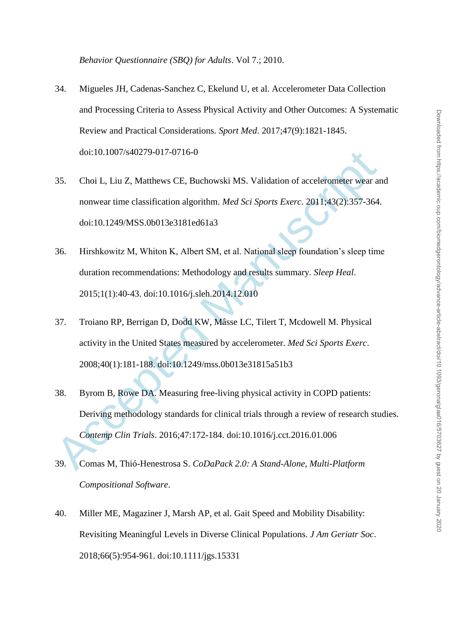- 34. Migueles JH, Cadenas-Sanchez C, Ekelund U, et al. Accelerometer Data Collection and Processing Criteria to Assess Physical Activity and Other Outcomes: A Systematic Review and Practical Considerations. *Sport Med*. 2017;47(9):1821-1845. doi:10.1007/s40279-017-0716-0
- 35. Choi L, Liu Z, Matthews CE, Buchowski MS. Validation of accelerometer wear and nonwear time classification algorithm. *Med Sci Sports Exerc*. 2011;43(2):357-364. doi:10.1249/MSS.0b013e3181ed61a3
- 36. Hirshkowitz M, Whiton K, Albert SM, et al. National sleep foundation's sleep time duration recommendations: Methodology and results summary. *Sleep Heal*. 2015;1(1):40-43. doi:10.1016/j.sleh.2014.12.010
- 37. Troiano RP, Berrigan D, Dodd KW, Mâsse LC, Tilert T, Mcdowell M. Physical activity in the United States measured by accelerometer. *Med Sci Sports Exerc*. 2008;40(1):181-188. doi:10.1249/mss.0b013e31815a51b3
- doi:10.1007/s40279-017-0716-0<br>
35. Choi L, Liu Z, Matthews CE, Buchowski MS. Validation of accelerometer wear an<br>
nonwear time classification algorithm. *Med Sci Sports Exerc.* 2011;43(2):357-364.<br>
406:10.1249/MSS.0b013e3 38. Byrom B, Rowe DA. Measuring free-living physical activity in COPD patients: Deriving methodology standards for clinical trials through a review of research studies. *Contemp Clin Trials*. 2016;47:172-184. doi:10.1016/j.cct.2016.01.006
- 39. Comas M, Thió-Henestrosa S. *CoDaPack 2.0: A Stand-Alone, Multi-Platform Compositional Software*.
- 40. Miller ME, Magaziner J, Marsh AP, et al. Gait Speed and Mobility Disability: Revisiting Meaningful Levels in Diverse Clinical Populations. *J Am Geriatr Soc*. 2018;66(5):954-961. doi:10.1111/jgs.15331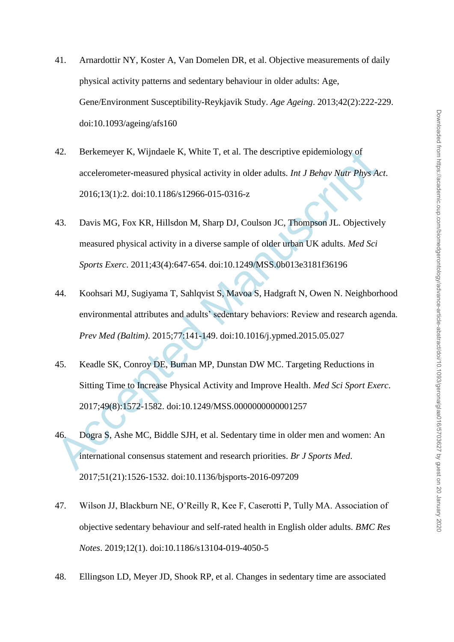- 41. Arnardottir NY, Koster A, Van Domelen DR, et al. Objective measurements of daily physical activity patterns and sedentary behaviour in older adults: Age, Gene/Environment Susceptibility-Reykjavik Study. *Age Ageing*. 2013;42(2):222-229. doi:10.1093/ageing/afs160
- 42. Berkemeyer K, Wijndaele K, White T, et al. The descriptive epidemiology of accelerometer-measured physical activity in older adults. *Int J Behav Nutr Phys Act*. 2016;13(1):2. doi:10.1186/s12966-015-0316-z
- 42. Berkemeyer K, Wijndaele K, White T, et al. The descriptive epidemiology of<br>accelerometer-measured physical activity in older adults. *Int J Behav Nutr Phys Ac*<br>2016;13(1):2. doi:10.1186/s12966-015-0316-z<br>43. Davis MG, 43. Davis MG, Fox KR, Hillsdon M, Sharp DJ, Coulson JC, Thompson JL. Objectively measured physical activity in a diverse sample of older urban UK adults. *Med Sci Sports Exerc*. 2011;43(4):647-654. doi:10.1249/MSS.0b013e3181f36196
- 44. Koohsari MJ, Sugiyama T, Sahlqvist S, Mavoa S, Hadgraft N, Owen N. Neighborhood environmental attributes and adults' sedentary behaviors: Review and research agenda. *Prev Med (Baltim)*. 2015;77:141-149. doi:10.1016/j.ypmed.2015.05.027
- 45. Keadle SK, Conroy DE, Buman MP, Dunstan DW MC. Targeting Reductions in Sitting Time to Increase Physical Activity and Improve Health. *Med Sci Sport Exerc*. 2017;49(8):1572-1582. doi:10.1249/MSS.0000000000001257
- 46. Dogra S, Ashe MC, Biddle SJH, et al. Sedentary time in older men and women: An international consensus statement and research priorities. *Br J Sports Med*. 2017;51(21):1526-1532. doi:10.1136/bjsports-2016-097209
- 47. Wilson JJ, Blackburn NE, O'Reilly R, Kee F, Caserotti P, Tully MA. Association of objective sedentary behaviour and self-rated health in English older adults. *BMC Res Notes*. 2019;12(1). doi:10.1186/s13104-019-4050-5
- 48. Ellingson LD, Meyer JD, Shook RP, et al. Changes in sedentary time are associated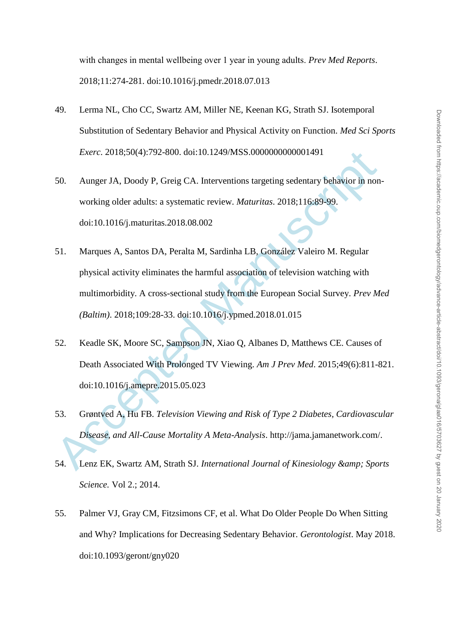with changes in mental wellbeing over 1 year in young adults. *Prev Med Reports*. 2018;11:274-281. doi:10.1016/j.pmedr.2018.07.013

- 49. Lerma NL, Cho CC, Swartz AM, Miller NE, Keenan KG, Strath SJ. Isotemporal Substitution of Sedentary Behavior and Physical Activity on Function. *Med Sci Sports Exerc*. 2018;50(4):792-800. doi:10.1249/MSS.0000000000001491
- 50. Aunger JA, Doody P, Greig CA. Interventions targeting sedentary behavior in nonworking older adults: a systematic review. *Maturitas*. 2018;116:89-99. doi:10.1016/j.maturitas.2018.08.002
- Exerc. 2018;50(4):792-800. doi:10.1249/MSS.0000000000001491<br>
50. Aunger JA, Doody P, Greig CA. Interventions targeting sedentary behavior in non<br>
working older adults: a systematic review. *Maturitas*. 2018;116:89-99.<br>
doi 51. Marques A, Santos DA, Peralta M, Sardinha LB, González Valeiro M. Regular physical activity eliminates the harmful association of television watching with multimorbidity. A cross-sectional study from the European Social Survey. *Prev Med (Baltim)*. 2018;109:28-33. doi:10.1016/j.ypmed.2018.01.015
- 52. Keadle SK, Moore SC, Sampson JN, Xiao Q, Albanes D, Matthews CE. Causes of Death Associated With Prolonged TV Viewing. *Am J Prev Med*. 2015;49(6):811-821. doi:10.1016/j.amepre.2015.05.023
- 53. Grøntved A, Hu FB. *Television Viewing and Risk of Type 2 Diabetes, Cardiovascular Disease, and All-Cause Mortality A Meta-Analysis*. http://jama.jamanetwork.com/.
- 54. Lenz EK, Swartz AM, Strath SJ, *International Journal of Kinesiology & amp*: Sports *Science.* Vol 2.; 2014.
- 55. Palmer VJ, Gray CM, Fitzsimons CF, et al. What Do Older People Do When Sitting and Why? Implications for Decreasing Sedentary Behavior. *Gerontologist*. May 2018. doi:10.1093/geront/gny020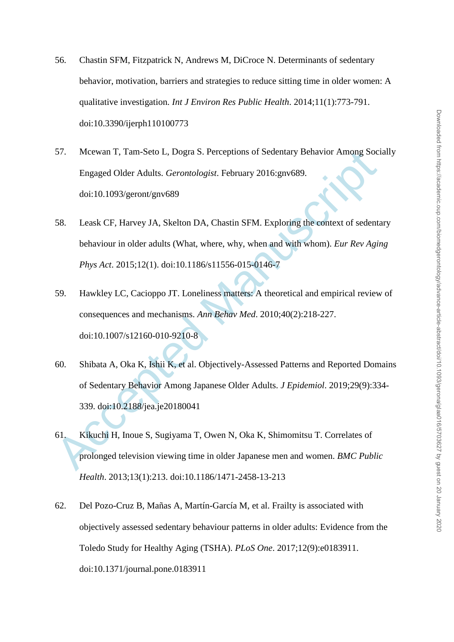- 56. Chastin SFM, Fitzpatrick N, Andrews M, DiCroce N. Determinants of sedentary behavior, motivation, barriers and strategies to reduce sitting time in older women: A qualitative investigation. *Int J Environ Res Public Health*. 2014;11(1):773-791. doi:10.3390/ijerph110100773
- 57. Mcewan T, Tam-Seto L, Dogra S. Perceptions of Sedentary Behavior Among Socially Engaged Older Adults. *Gerontologist*. February 2016:gnv689. doi:10.1093/geront/gnv689
- 58. Leask CF, Harvey JA, Skelton DA, Chastin SFM. Exploring the context of sedentary behaviour in older adults (What, where, why, when and with whom). *Eur Rev Aging Phys Act*. 2015;12(1). doi:10.1186/s11556-015-0146-7
- 59. Hawkley LC, Cacioppo JT. Loneliness matters: A theoretical and empirical review of consequences and mechanisms. *Ann Behav Med*. 2010;40(2):218-227. doi:10.1007/s12160-010-9210-8
- 57. Mcewan T, Tam-Seto L, Dogra S. Perceptions of Sedentary Behavior Among Soci<br>
Engaged Older Adults. *Gerontologist*. February 2016:gnv689.<br>
doi:10.1093/geront/gnv689<br>
58. Leask CF, Harvey JA, Skelton DA, Chastin SFM. E 60. Shibata A, Oka K, Ishii K, et al. Objectively-Assessed Patterns and Reported Domains of Sedentary Behavior Among Japanese Older Adults. *J Epidemiol*. 2019;29(9):334- 339. doi:10.2188/jea.je20180041
- 61. Kikuchi H, Inoue S, Sugiyama T, Owen N, Oka K, Shimomitsu T. Correlates of prolonged television viewing time in older Japanese men and women. *BMC Public Health*. 2013;13(1):213. doi:10.1186/1471-2458-13-213
- 62. Del Pozo-Cruz B, Mañas A, Martín-García M, et al. Frailty is associated with objectively assessed sedentary behaviour patterns in older adults: Evidence from the Toledo Study for Healthy Aging (TSHA). *PLoS One*. 2017;12(9):e0183911. doi:10.1371/journal.pone.0183911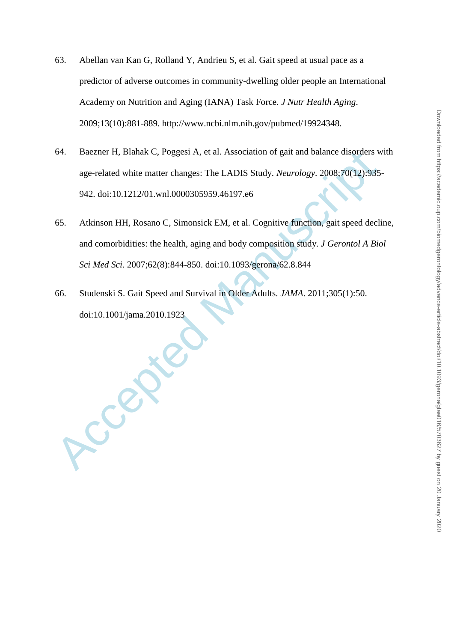- 63. Abellan van Kan G, Rolland Y, Andrieu S, et al. Gait speed at usual pace as a predictor of adverse outcomes in community-dwelling older people an International Academy on Nutrition and Aging (IANA) Task Force. *J Nutr Health Aging*. 2009;13(10):881-889. http://www.ncbi.nlm.nih.gov/pubmed/19924348.
- 64. Baezner H, Blahak C, Poggesi A, et al. Association of gait and balance disorders with age-related white matter changes: The LADIS Study. *Neurology*. 2008;70(12):935- 942. doi:10.1212/01.wnl.0000305959.46197.e6
- 64. Baezner H, Blahak C, Poggesi A, et al. Association of gait and balance disorders w<br>age-related white matter changes: The LADIS Study. *Neurology*. 2008;70(12):935<br>942. doi:10.1212/01.wnl.0000305959.46197.e6<br>65. Alkinso 65. Atkinson HH, Rosano C, Simonsick EM, et al. Cognitive function, gait speed decline, and comorbidities: the health, aging and body composition study. *J Gerontol A Biol Sci Med Sci*. 2007;62(8):844-850. doi:10.1093/gerona/62.8.844
- 66. Studenski S. Gait Speed and Survival in Older Adults. *JAMA*. 2011;305(1):50. doi:10.1001/jama.2010.1923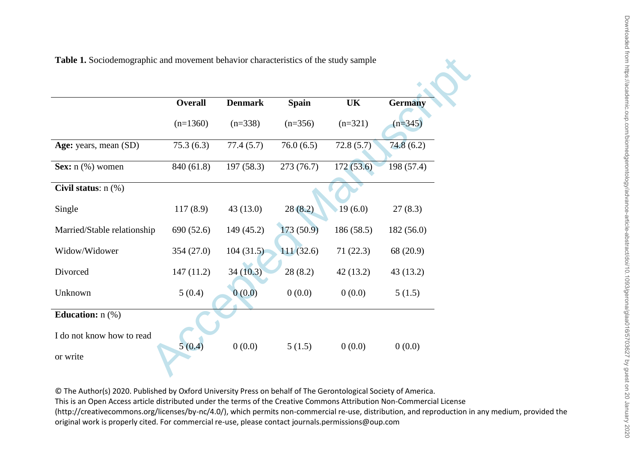| Table 1. Sociodemographic and movement behavior characteristics of the study sample |                |                |              |            |                |
|-------------------------------------------------------------------------------------|----------------|----------------|--------------|------------|----------------|
|                                                                                     |                |                |              |            |                |
|                                                                                     | <b>Overall</b> | <b>Denmark</b> | <b>Spain</b> | UK         | <b>Germany</b> |
|                                                                                     | $(n=1360)$     | $(n=338)$      | $(n=356)$    | $(n=321)$  | $(n=345)$      |
| Age: years, mean (SD)                                                               | 75.3(6.3)      | 77.4(5.7)      | 76.0(6.5)    | 72.8(5.7)  | 74.8(6.2)      |
| Sex: $n$ (%) women                                                                  | 840 (61.8)     | 197(58.3)      | 273(76.7)    | 172(53.6)  | 198(57.4)      |
| Civil status: n (%)                                                                 |                |                |              |            |                |
| Single                                                                              | 117(8.9)       | 43(13.0)       | 28(8.2)      | 19(6.0)    | 27(8.3)        |
| Married/Stable relationship                                                         | 690 (52.6)     | 149 (45.2)     | 173(50.9)    | 186 (58.5) | 182(56.0)      |
| Widow/Widower                                                                       | 354(27.0)      | 104(31.5)      | 111(32.6)    | 71(22.3)   | 68 (20.9)      |
| Divorced                                                                            | 147(11.2)      | 34(10.3)       | 28(8.2)      | 42(13.2)   | 43(13.2)       |
| Unknown                                                                             | 5(0.4)         | 0(0.0)         | 0(0.0)       | 0(0.0)     | 5(1.5)         |
| Education: $n$ (%)                                                                  |                |                |              |            |                |
| I do not know how to read                                                           |                |                |              |            |                |
| or write                                                                            | 5(0.4)         | 0(0.0)         | 5(1.5)       | 0(0.0)     | 0(0.0)         |
|                                                                                     |                |                |              |            |                |

**Table 1.** Sociodemographic and movement behavior characteristics of the study sample

© The Author(s) 2020. Published by Oxford University Press on behalf of The Gerontological Society of America. This is an Open Access article distributed under the terms of the Creative Commons Attribution Non-Commercial License (http://creativecommons.org/licenses/by-nc/4.0/), which permits non-commercial re-use, distribution, and reproduction in any medium, provided the original work is properly cited. For commercial re-use, please contact journals.permissions@oup.com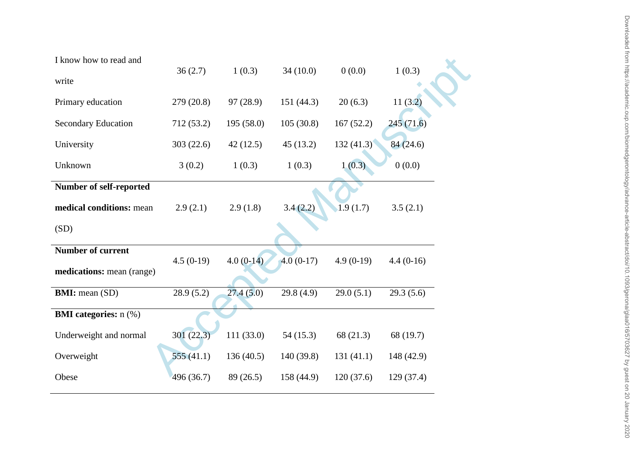| I know how to read and<br>write | 36(2.7)     | 1(0.3)      | 34(10.0)    | 0(0.0)      | 1(0.3)      |
|---------------------------------|-------------|-------------|-------------|-------------|-------------|
|                                 |             |             |             |             |             |
| Primary education               | 279 (20.8)  | 97 (28.9)   | 151 (44.3)  | 20(6.3)     | 11(3.2)     |
| <b>Secondary Education</b>      | 712(53.2)   | 195(58.0)   | 105(30.8)   | 167(52.2)   | 245(71.6)   |
| University                      | 303(22.6)   | 42(12.5)    | 45(13.2)    | 132(41.3)   | 84(24.6)    |
| Unknown                         | 3(0.2)      | 1(0.3)      | 1(0.3)      | 1(0.3)      | 0(0.0)      |
| Number of self-reported         |             |             |             |             |             |
| medical conditions: mean        | 2.9(2.1)    | 2.9(1.8)    | 3.4(2.2)    | 1.9(1.7)    | 3.5(2.1)    |
| (SD)                            |             |             |             |             |             |
| <b>Number of current</b>        |             |             |             |             |             |
| medications: mean (range)       | $4.5(0-19)$ | $4.0(0-14)$ | $4.0(0-17)$ | $4.9(0-19)$ | $4.4(0-16)$ |
| <b>BMI:</b> mean (SD)           | 28.9(5.2)   | 27.4(5.0)   | 29.8(4.9)   | 29.0(5.1)   | 29.3(5.6)   |
|                                 |             |             |             |             |             |
| <b>BMI</b> categories: n (%)    |             |             |             |             |             |
| Underweight and normal          | 301(22.3)   | 111(33.0)   | 54(15.3)    | 68 (21.3)   | 68 (19.7)   |
| Overweight                      | 555(41.1)   | 136(40.5)   | 140 (39.8)  | 131(41.1)   | 148 (42.9)  |
| Obese                           | 496 (36.7)  | 89 (26.5)   | 158 (44.9)  | 120(37.6)   | 129(37.4)   |
|                                 |             |             |             |             |             |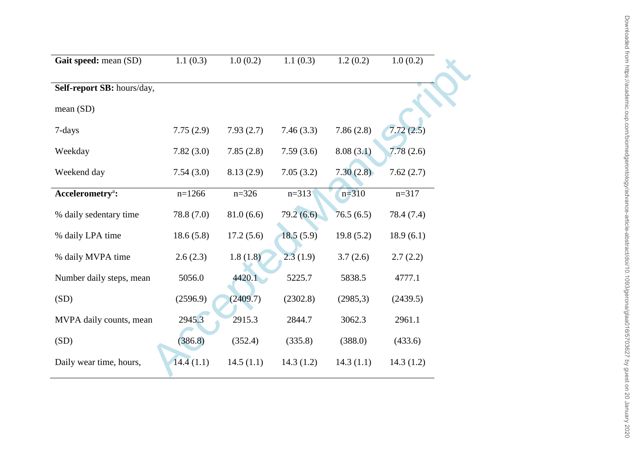| Gait speed: mean (SD)        | 1.1(0.3)   | 1.0(0.2)  | 1.1(0.3)  | 1.2(0.2)  | 1.0(0.2)   |
|------------------------------|------------|-----------|-----------|-----------|------------|
| Self-report SB: hours/day,   |            |           |           |           |            |
| mean $(SD)$                  |            |           |           |           |            |
| 7-days                       | 7.75(2.9)  | 7.93(2.7) | 7.46(3.3) | 7.86(2.8) | 7.72(2.5)  |
| Weekday                      | 7.82(3.0)  | 7.85(2.8) | 7.59(3.6) | 8.08(3.1) | 7.78(2.6)  |
| Weekend day                  | 7.54(3.0)  | 8.13(2.9) | 7.05(3.2) | 7.30(2.8) | 7.62(2.7)  |
| Accelerometry <sup>a</sup> : | $n=1266$   | $n=326$   | $n=313$   | $n=310$   | $n=317$    |
| % daily sedentary time       | 78.8 (7.0) | 81.0(6.6) | 79.2(6.6) | 76.5(6.5) | 78.4 (7.4) |
| % daily LPA time             | 18.6(5.8)  | 17.2(5.6) | 18.5(5.9) | 19.8(5.2) | 18.9(6.1)  |
| % daily MVPA time            | 2.6(2.3)   | 1.8(1.8)  | 2.3(1.9)  | 3.7(2.6)  | 2.7(2.2)   |
| Number daily steps, mean     | 5056.0     | 4420.1    | 5225.7    | 5838.5    | 4777.1     |
| (SD)                         | (2596.9)   | (2409.7)  | (2302.8)  | (2985,3)  | (2439.5)   |
| MVPA daily counts, mean      | 2945.3     | 2915.3    | 2844.7    | 3062.3    | 2961.1     |
| (SD)                         | (386.8)    | (352.4)   | (335.8)   | (388.0)   | (433.6)    |
| Daily wear time, hours,      | 14.4(1.1)  | 14.5(1.1) | 14.3(1.2) | 14.3(1.1) | 14.3(1.2)  |
|                              |            |           |           |           |            |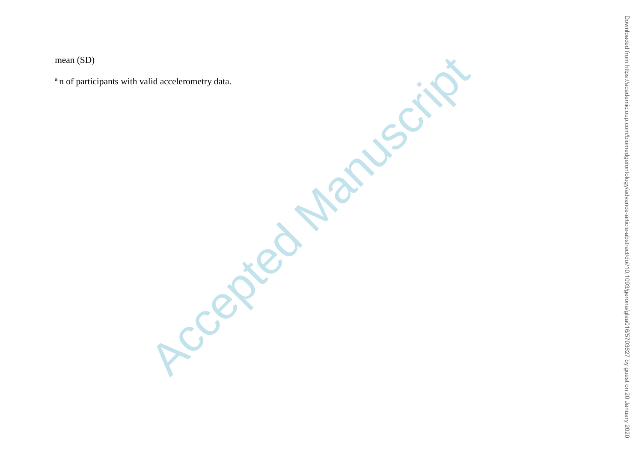mean (SD)

<sup>a</sup>n of participants with valid accelerometry data.

Accepted Manuscrit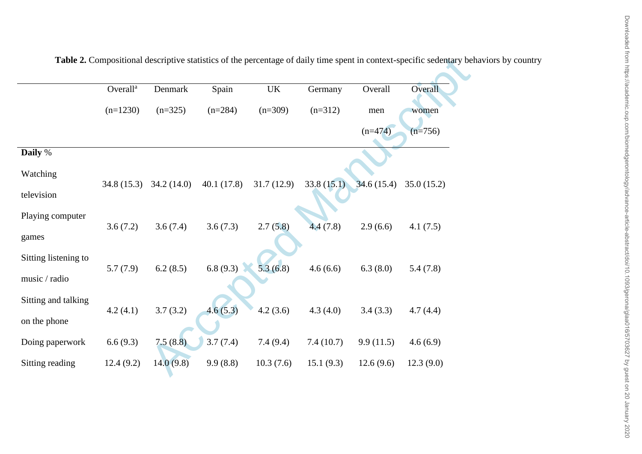|                                       | Overall <sup>a</sup> | Denmark                   | Spain      | $\ensuremath{\mathrm{UK}}\xspace$ | Germany    | Overall    | Overall    |
|---------------------------------------|----------------------|---------------------------|------------|-----------------------------------|------------|------------|------------|
|                                       | $(n=1230)$           | $(n=325)$                 | $(n=284)$  | $(n=309)$                         | $(n=312)$  | men        | women      |
|                                       |                      |                           |            |                                   |            | $(n=474)$  | $(n=756)$  |
| Daily %                               |                      |                           |            |                                   |            |            |            |
| Watching                              |                      | $34.8(15.3)$ $34.2(14.0)$ | 40.1(17.8) | 31.7(12.9)                        | 33.8(15.1) | 34.6(15.4) | 35.0(15.2) |
| television                            |                      |                           |            |                                   |            |            |            |
| Playing computer<br>games             | 3.6(7.2)             | 3.6(7.4)                  | 3.6(7.3)   | 2.7(5.8)                          | 4.4(7.8)   | 2.9(6.6)   | 4.1(7.5)   |
| Sitting listening to<br>music / radio | 5.7(7.9)             | 6.2(8.5)                  | 6.8(9.3)   | 5.3(6.8)                          | 4.6(6.6)   | 6.3(8.0)   | 5.4(7.8)   |
| Sitting and talking<br>on the phone   | 4.2(4.1)             | 3.7(3.2)                  | 4.6(5.3)   | 4.2(3.6)                          | 4.3(4.0)   | 3.4(3.3)   | 4.7(4.4)   |
| Doing paperwork                       | 6.6(9.3)             | 7.5(8.8)                  | 3.7(7.4)   | 7.4(9.4)                          | 7.4(10.7)  | 9.9(11.5)  | 4.6(6.9)   |
| Sitting reading                       | 12.4(9.2)            | 14.0(9.8)                 | 9.9(8.8)   | 10.3(7.6)                         | 15.1(9.3)  | 12.6(9.6)  | 12.3(9.0)  |

**Table 2.** Compositional descriptive statistics of the percentage of daily time spent in context-specific sedentary behaviors by country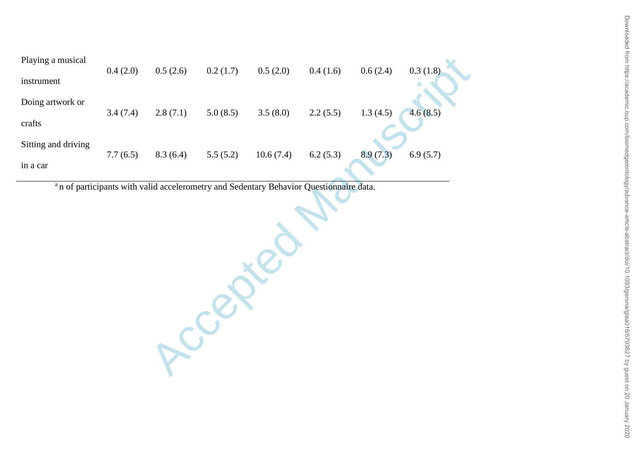| Playing a musical   |          |          |                                                                                                    |           |          |          |          |
|---------------------|----------|----------|----------------------------------------------------------------------------------------------------|-----------|----------|----------|----------|
| instrument          | 0.4(2.0) | 0.5(2.6) | 0.2(1.7)                                                                                           | 0.5(2.0)  | 0.4(1.6) | 0.6(2.4) | 0.3(1.8) |
| Doing artwork or    |          |          |                                                                                                    |           |          |          |          |
| crafts              | 3.4(7.4) | 2.8(7.1) | 5.0(8.5)                                                                                           | 3.5(8.0)  | 2.2(5.5) | 1.3(4.5) | 4.6(8.5) |
| Sitting and driving |          |          |                                                                                                    |           |          |          |          |
| in a car            | 7.7(6.5) | 8.3(6.4) | 5.5(5.2)                                                                                           | 10.6(7.4) | 6.2(5.3) | 8.9(7.3) | 6.9(5.7) |
|                     |          |          | <sup>a</sup> n of participants with valid accelerometry and Sedentary Behavior Questionnaire data. |           |          |          |          |
|                     |          |          |                                                                                                    |           |          |          |          |
|                     |          |          |                                                                                                    |           |          |          |          |
|                     |          |          |                                                                                                    |           |          |          |          |
|                     |          |          |                                                                                                    |           |          |          |          |
|                     |          |          |                                                                                                    |           |          |          |          |
|                     |          |          |                                                                                                    |           |          |          |          |
|                     |          |          |                                                                                                    |           |          |          |          |
|                     |          |          |                                                                                                    |           |          |          |          |
|                     |          |          |                                                                                                    |           |          |          |          |
|                     |          |          |                                                                                                    |           |          |          |          |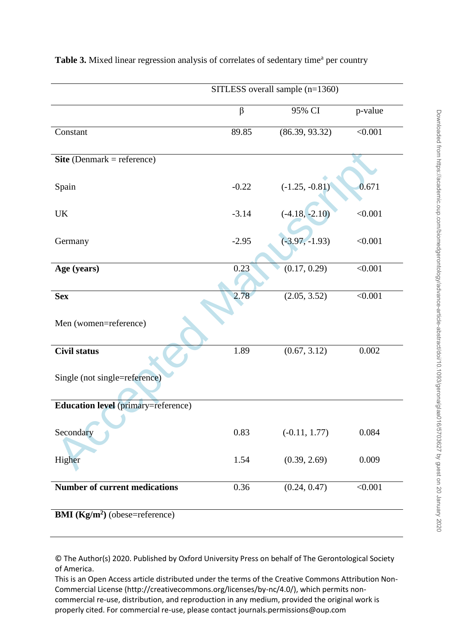|                                                      | SITLESS overall sample (n=1360) |                  |         |  |  |  |  |
|------------------------------------------------------|---------------------------------|------------------|---------|--|--|--|--|
|                                                      | $\beta$                         | 95% CI           | p-value |  |  |  |  |
| Constant                                             | 89.85                           | (86.39, 93.32)   | < 0.001 |  |  |  |  |
| Site (Denmark = reference)                           |                                 |                  |         |  |  |  |  |
| Spain                                                | $-0.22$                         | $(-1.25, -0.81)$ | 0.671   |  |  |  |  |
| <b>UK</b>                                            | $-3.14$                         | $(-4.18, -2.10)$ | < 0.001 |  |  |  |  |
| Germany                                              | $-2.95$                         | $(-3.97, -1.93)$ | < 0.001 |  |  |  |  |
| Age (years)                                          | 0.23                            | (0.17, 0.29)     | < 0.001 |  |  |  |  |
| <b>Sex</b><br>Men (women=reference)                  | 2.78                            | (2.05, 3.52)     | < 0.001 |  |  |  |  |
| <b>Civil status</b><br>Single (not single=reference) | 1.89                            | (0.67, 3.12)     | 0.002   |  |  |  |  |
| <b>Education level</b> (primary=reference)           |                                 |                  |         |  |  |  |  |
| Secondary                                            | 0.83                            | $(-0.11, 1.77)$  | 0.084   |  |  |  |  |
| Higher                                               | 1.54                            | (0.39, 2.69)     | 0.009   |  |  |  |  |
| <b>Number of current medications</b>                 | 0.36                            | (0.24, 0.47)     | < 0.001 |  |  |  |  |
| <b>BMI</b> ( $\text{Kg/m}^2$ ) (obese=reference)     |                                 |                  |         |  |  |  |  |

# Table 3. Mixed linear regression analysis of correlates of sedentary time<sup>a</sup> per country

© The Author(s) 2020. Published by Oxford University Press on behalf of The Gerontological Society of America.

This is an Open Access article distributed under the terms of the Creative Commons Attribution Non-Commercial License (http://creativecommons.org/licenses/by-nc/4.0/), which permits noncommercial re-use, distribution, and reproduction in any medium, provided the original work is properly cited. For commercial re-use, please contact journals.permissions@oup.com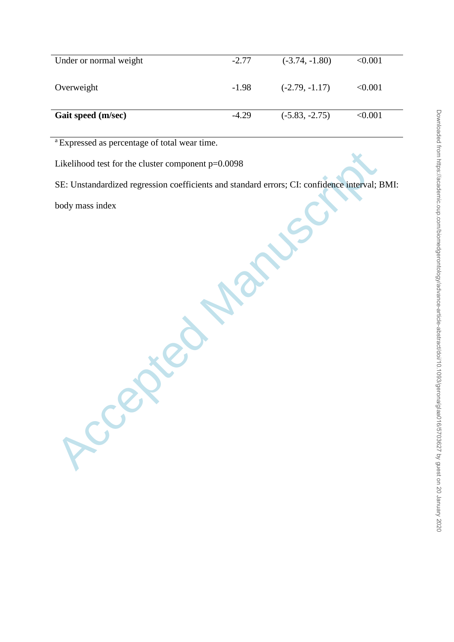| Under or normal weight | $-2.77$ | $(-3.74, -1.80)$ | < 0.001 |
|------------------------|---------|------------------|---------|
| Overweight             | $-1.98$ | $(-2.79, -1.17)$ | < 0.001 |
| Gait speed (m/sec)     | $-4.29$ | $(-5.83, -2.75)$ | < 0.001 |

<sup>a</sup> Expressed as percentage of total wear time.

Likelihood test for the cluster component p=0.0098

Accepted Manuscript

SE: Unstandardized regression coefficients and standard errors; CI: confidence interval; BMI:

body mass index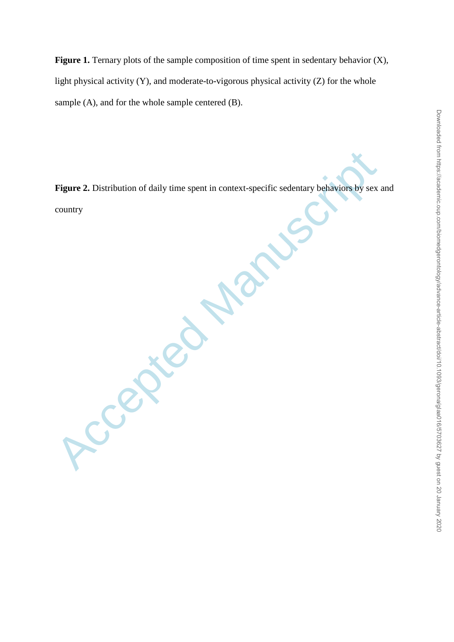Figure 1. Ternary plots of the sample composition of time spent in sedentary behavior  $(X)$ , light physical activity  $(Y)$ , and moderate-to-vigorous physical activity  $(Z)$  for the whole sample (A), and for the whole sample centered (B).

**Figure 2.** Distribution of daily time spent in context-specific sedentary behaviors by sex and country

Accepted Main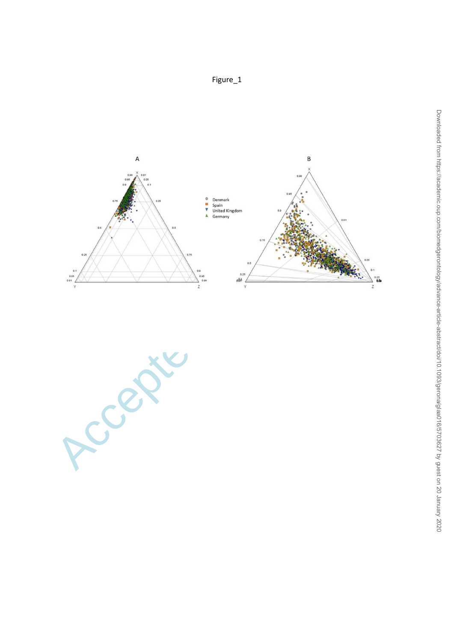